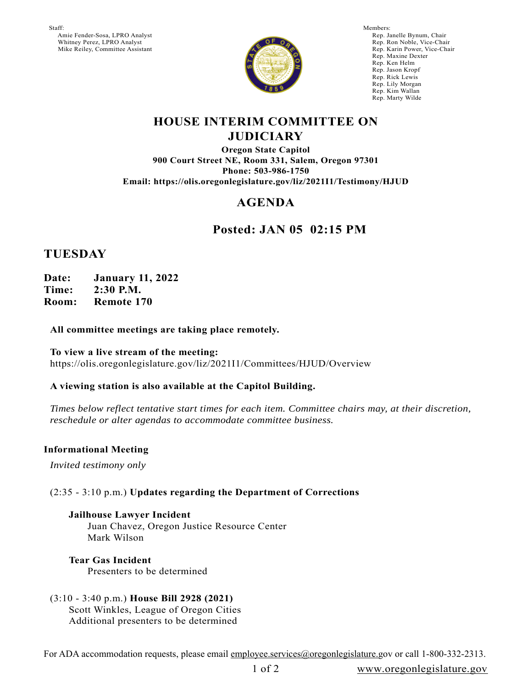Staff: Amie Fender-Sosa, LPRO Analyst Whitney Perez, LPRO Analyst Mike Reiley, Committee Assistant



Members: Rep. Janelle Bynum, Chair Rep. Ron Noble, Vice-Chair Rep. Karin Power, Vice-Chair Rep. Maxine Dexter Rep. Ken Helm Rep. Jason Kropf Rep. Rick Lewis Rep. Lily Morgan Rep. Kim Wallan Rep. Marty Wilde

## **HOUSE INTERIM COMMITTEE ON JUDICIARY**

**Oregon State Capitol 900 Court Street NE, Room 331, Salem, Oregon 97301 Phone: 503-986-1750 Email: https://olis.oregonlegislature.gov/liz/2021I1/Testimony/HJUD**

# **AGENDA**

# **Posted: JAN 05 02:15 PM**

## **TUESDAY**

**Date: January 11, 2022 Time: 2:30 P.M. Room: Remote 170**

### **All committee meetings are taking place remotely.**

**To view a live stream of the meeting:**  https://olis.oregonlegislature.gov/liz/2021I1/Committees/HJUD/Overview

### **A viewing station is also available at the Capitol Building.**

*Times below reflect tentative start times for each item. Committee chairs may, at their discretion, reschedule or alter agendas to accommodate committee business.* 

### **Informational Meeting**

*Invited testimony only*

### (2:35 - 3:10 p.m.) **Updates regarding the Department of Corrections**

**Jailhouse Lawyer Incident** Juan Chavez, Oregon Justice Resource Center Mark Wilson

**Tear Gas Incident** Presenters to be determined

(3:10 - 3:40 p.m.) **House Bill 2928 (2021)** Scott Winkles, League of Oregon Cities Additional presenters to be determined

For ADA accommodation requests, please email employee.services@oregonlegislature.gov or call 1-800-332-2313.